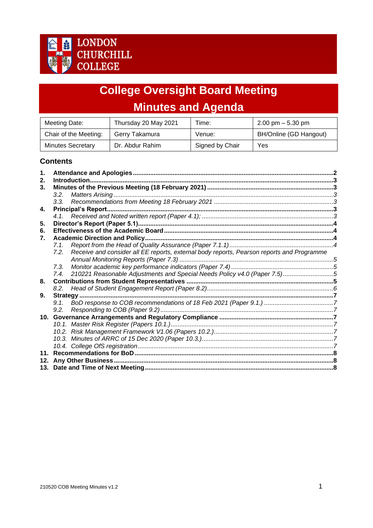

# **College Oversight Board Meeting Minutes and Agenda**

| Meeting Date:            | Thursday 20 May 2021 | Time:           | $2.00 \text{ pm} - 5.30 \text{ pm}$ |
|--------------------------|----------------------|-----------------|-------------------------------------|
| Chair of the Meeting:    | Gerry Takamura       | Venue:          | BH/Online (GD Hangout)              |
| <b>Minutes Secretary</b> | Dr. Abdur Rahim      | Signed by Chair | Yes                                 |

## **Contents**

<span id="page-0-0"></span>

| 1.              |      |                                                                                           |  |
|-----------------|------|-------------------------------------------------------------------------------------------|--|
| 2.              |      |                                                                                           |  |
| 3 <sub>1</sub>  |      |                                                                                           |  |
|                 | 3.2. |                                                                                           |  |
|                 |      |                                                                                           |  |
| 4.              |      |                                                                                           |  |
|                 | 4.1. |                                                                                           |  |
| 5.              |      |                                                                                           |  |
| 6.              |      |                                                                                           |  |
| 7.              |      |                                                                                           |  |
|                 | 7.1  |                                                                                           |  |
|                 | 7.2. | Receive and consider all EE reports, external body reports, Pearson reports and Programme |  |
|                 |      |                                                                                           |  |
|                 | 7.3. |                                                                                           |  |
|                 | 7.4. | 210221 Reasonable Adjustments and Special Needs Policy v4.0 (Paper 7.5)5                  |  |
| 8.              |      |                                                                                           |  |
|                 | 8.2. |                                                                                           |  |
| 9.              |      |                                                                                           |  |
|                 | 9.1. |                                                                                           |  |
|                 | 9.2. |                                                                                           |  |
| 10.             |      |                                                                                           |  |
|                 |      |                                                                                           |  |
|                 |      |                                                                                           |  |
|                 |      |                                                                                           |  |
|                 |      |                                                                                           |  |
| 11 <sup>1</sup> |      |                                                                                           |  |
| 12.             |      |                                                                                           |  |
|                 |      |                                                                                           |  |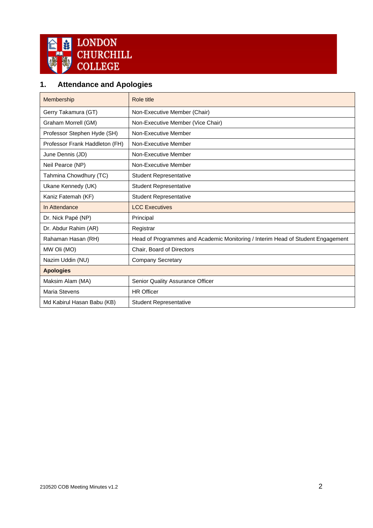

## **1. Attendance and Apologies**

| Membership                     | Role title                                                                      |
|--------------------------------|---------------------------------------------------------------------------------|
| Gerry Takamura (GT)            | Non-Executive Member (Chair)                                                    |
| Graham Morrell (GM)            | Non-Executive Member (Vice Chair)                                               |
| Professor Stephen Hyde (SH)    | Non-Executive Member                                                            |
| Professor Frank Haddleton (FH) | Non-Executive Member                                                            |
| June Dennis (JD)               | Non-Executive Member                                                            |
| Neil Pearce (NP)               | Non-Executive Member                                                            |
| Tahmina Chowdhury (TC)         | <b>Student Representative</b>                                                   |
| Ukane Kennedy (UK)             | <b>Student Representative</b>                                                   |
| Kaniz Fatemah (KF)             | <b>Student Representative</b>                                                   |
| In Attendance                  | <b>LCC Executives</b>                                                           |
| Dr. Nick Papé (NP)             | Principal                                                                       |
| Dr. Abdur Rahim (AR)           | Registrar                                                                       |
| Rahaman Hasan (RH)             | Head of Programmes and Academic Monitoring / Interim Head of Student Engagement |
| MW Oli (MO)                    | Chair, Board of Directors                                                       |
| Nazim Uddin (NU)               | <b>Company Secretary</b>                                                        |
| <b>Apologies</b>               |                                                                                 |
| Maksim Alam (MA)               | Senior Quality Assurance Officer                                                |
| <b>Maria Stevens</b>           | <b>HR Officer</b>                                                               |
| Md Kabirul Hasan Babu (KB)     | <b>Student Representative</b>                                                   |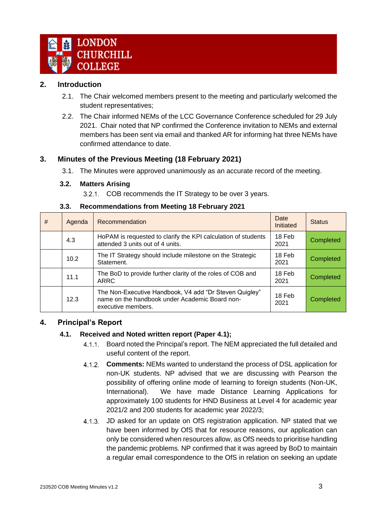

## <span id="page-2-0"></span>**2. Introduction**

- 2.1. The Chair welcomed members present to the meeting and particularly welcomed the student representatives;
- 2.2. The Chair informed NEMs of the LCC Governance Conference scheduled for 29 July 2021. Chair noted that NP confirmed the Conference invitation to NEMs and external members has been sent via email and thanked AR for informing hat three NEMs have confirmed attendance to date.

## <span id="page-2-1"></span>**3. Minutes of the Previous Meeting (18 February 2021)**

3.1. The Minutes were approved unanimously as an accurate record of the meeting.

#### <span id="page-2-2"></span>**3.2. Matters Arising**

3.2.1. COB recommends the IT Strategy to be over 3 years.

<span id="page-2-3"></span>

| # | Agenda | Recommendation                                                                                                                 | Date<br>Initiated | <b>Status</b> |
|---|--------|--------------------------------------------------------------------------------------------------------------------------------|-------------------|---------------|
|   | 4.3    | HoPAM is requested to clarify the KPI calculation of students<br>attended 3 units out of 4 units.                              | 18 Feb<br>2021    | Completed     |
|   | 10.2   | The IT Strategy should include milestone on the Strategic<br>Statement.                                                        | 18 Feb<br>2021    | Completed     |
|   | 11.1   | The BoD to provide further clarity of the roles of COB and<br><b>ARRC</b>                                                      | 18 Feb<br>2021    | Completed     |
|   | 12.3   | The Non-Executive Handbook, V4 add "Dr Steven Quigley"<br>name on the handbook under Academic Board non-<br>executive members. | 18 Feb<br>2021    | Completed     |

#### **3.3. Recommendations from Meeting 18 February 2021**

## <span id="page-2-5"></span><span id="page-2-4"></span>**4. Principal's Report**

## **4.1. Received and Noted written report (Paper 4.1);**

- 4.1.1. Board noted the Principal's report. The NEM appreciated the full detailed and useful content of the report.
- $4.1.2.$ **Comments:** NEMs wanted to understand the process of DSL application for non-UK students. NP advised that we are discussing with Pearson the possibility of offering online mode of learning to foreign students (Non-UK, International). We have made Distance Learning Applications for approximately 100 students for HND Business at Level 4 for academic year 2021/2 and 200 students for academic year 2022/3;
- 4.1.3. JD asked for an update on OfS registration application. NP stated that we have been informed by OfS that for resource reasons, our application can only be considered when resources allow, as OfS needs to prioritise handling the pandemic problems. NP confirmed that it was agreed by BoD to maintain a regular email correspondence to the OfS in relation on seeking an update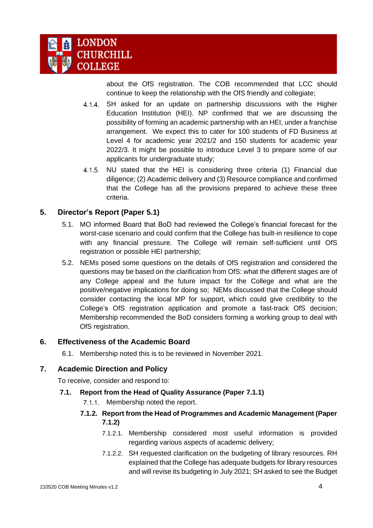

about the OfS registration. The COB recommended that LCC should continue to keep the relationship with the OfS friendly and collegiate;

- 4.1.4. SH asked for an update on partnership discussions with the Higher Education Institution (HEI). NP confirmed that we are discussing the possibility of forming an academic partnership with an HEI, under a franchise arrangement. We expect this to cater for 100 students of FD Business at Level 4 for academic year 2021/2 and 150 students for academic year 2022/3. It might be possible to introduce Level 3 to prepare some of our applicants for undergraduate study;
- 4.1.5. NU stated that the HEI is considering three criteria (1) Financial due diligence; (2) Academic delivery and (3) Resource compliance and confirmed that the College has all the provisions prepared to achieve these three criteria.

## <span id="page-3-0"></span>**5. Director's Report (Paper 5.1)**

- 5.1. MO informed Board that BoD had reviewed the College's financial forecast for the worst-case scenario and could confirm that the College has built-in resilience to cope with any financial pressure. The College will remain self-sufficient until OfS registration or possible HEI partnership;
- 5.2. NEMs posed some questions on the details of OfS registration and considered the questions may be based on the clarification from OfS: what the different stages are of any College appeal and the future impact for the College and what are the positive/negative implications for doing so; NEMs discussed that the College should consider contacting the local MP for support, which could give credibility to the College's OfS registration application and promote a fast-track OfS decision; Membership recommended the BoD considers forming a working group to deal with OfS registration.

## <span id="page-3-1"></span>**6. Effectiveness of the Academic Board**

6.1. Membership noted this is to be reviewed in November 2021.

## <span id="page-3-2"></span>**7. Academic Direction and Policy**

To receive, consider and respond to:

- <span id="page-3-3"></span>**7.1. Report from the Head of Quality Assurance (Paper 7.1.1)**
	- 7.1.1. Membership noted the report.

## **7.1.2. Report from the Head of Programmes and Academic Management (Paper 7.1.2)**

- 7.1.2.1. Membership considered most useful information is provided regarding various aspects of academic delivery;
- 7.1.2.2. SH requested clarification on the budgeting of library resources. RH explained that the College has adequate budgets for library resources and will revise its budgeting in July 2021; SH asked to see the Budget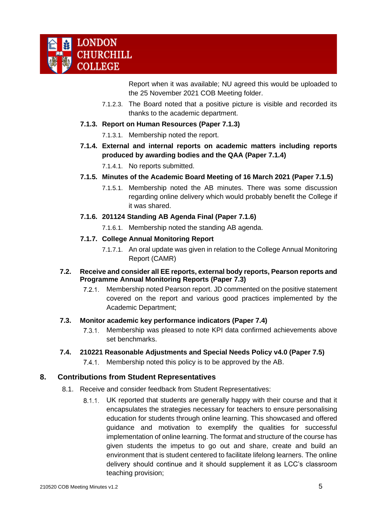Report when it was available; NU agreed this would be uploaded to the 25 November 2021 COB Meeting folder.

- 7.1.2.3. The Board noted that a positive picture is visible and recorded its thanks to the academic department.
- **7.1.3. Report on Human Resources (Paper 7.1.3)**
	- 7.1.3.1. Membership noted the report.
- **7.1.4. External and internal reports on academic matters including reports produced by awarding bodies and the QAA (Paper 7.1.4)**
	- 7.1.4.1. No reports submitted.
- **7.1.5. Minutes of the Academic Board Meeting of 16 March 2021 (Paper 7.1.5)**
	- 7.1.5.1. Membership noted the AB minutes. There was some discussion regarding online delivery which would probably benefit the College if it was shared.
- **7.1.6. 201124 Standing AB Agenda Final (Paper 7.1.6)**
	- 7.1.6.1. Membership noted the standing AB agenda.
- **7.1.7. College Annual Monitoring Report** 
	- 7.1.7.1. An oral update was given in relation to the College Annual Monitoring Report (CAMR)
- <span id="page-4-0"></span>**7.2. Receive and consider all EE reports, external body reports, Pearson reports and Programme Annual Monitoring Reports (Paper 7.3)**
	- 7.2.1. Membership noted Pearson report. JD commented on the positive statement covered on the report and various good practices implemented by the Academic Department;
- <span id="page-4-1"></span>**7.3. Monitor academic key performance indicators (Paper 7.4)**
	- 7.3.1. Membership was pleased to note KPI data confirmed achievements above set benchmarks.
- <span id="page-4-2"></span>**7.4. 210221 Reasonable Adjustments and Special Needs Policy v4.0 (Paper 7.5)**
	- 7.4.1. Membership noted this policy is to be approved by the AB.

## <span id="page-4-3"></span>**8. Contributions from Student Representatives**

- 8.1. Receive and consider feedback from Student Representatives:
	- UK reported that students are generally happy with their course and that it encapsulates the strategies necessary for teachers to ensure personalising education for students through online learning. This showcased and offered guidance and motivation to exemplify the qualities for successful implementation of online learning. The format and structure of the course has given students the impetus to go out and share, create and build an environment that is student centered to facilitate lifelong learners. The online delivery should continue and it should supplement it as LCC's classroom teaching provision;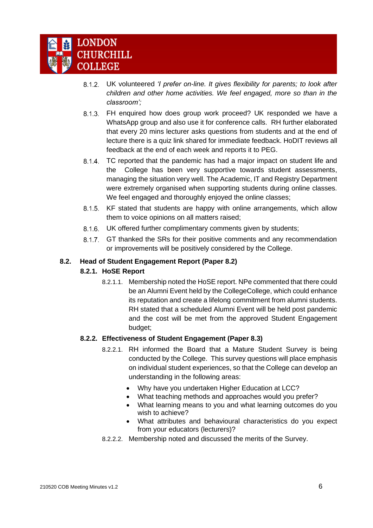

- UK volunteered *'I prefer on-line. It gives flexibility for parents; to look after children and other home activities. We feel engaged, more so than in the classroom';*
- FH enquired how does group work proceed? UK responded we have a WhatsApp group and also use it for conference calls. RH further elaborated that every 20 mins lecturer asks questions from students and at the end of lecture there is a quiz link shared for immediate feedback. HoDIT reviews all feedback at the end of each week and reports it to PEG.
- 8.1.4. TC reported that the pandemic has had a major impact on student life and the College has been very supportive towards student assessments, managing the situation very well. The Academic, IT and Registry Department were extremely organised when supporting students during online classes. We feel engaged and thoroughly enjoyed the online classes;
- 8.1.5. KF stated that students are happy with online arrangements, which allow them to voice opinions on all matters raised;
- UK offered further complimentary comments given by students;
- 8.1.7. GT thanked the SRs for their positive comments and any recommendation or improvements will be positively considered by the College.

### <span id="page-5-0"></span>**8.2. Head of Student Engagement Report (Paper 8.2)**

#### **8.2.1. HoSE Report**

8.2.1.1. Membership noted the HoSE report. NPe commented that there could be an Alumni Event held by the CollegeCollege, which could enhance its reputation and create a lifelong commitment from alumni students. RH stated that a scheduled Alumni Event will be held post pandemic and the cost will be met from the approved Student Engagement budget;

## **8.2.2. Effectiveness of Student Engagement (Paper 8.3)**

- 8.2.2.1. RH informed the Board that a Mature Student Survey is being conducted by the College. This survey questions will place emphasis on individual student experiences, so that the College can develop an understanding in the following areas:
	- Why have you undertaken Higher Education at LCC?
	- What teaching methods and approaches would you prefer?
	- What learning means to you and what learning outcomes do you wish to achieve?
	- What attributes and behavioural characteristics do you expect from your educators (lecturers)?
- <span id="page-5-1"></span>8.2.2.2. Membership noted and discussed the merits of the Survey.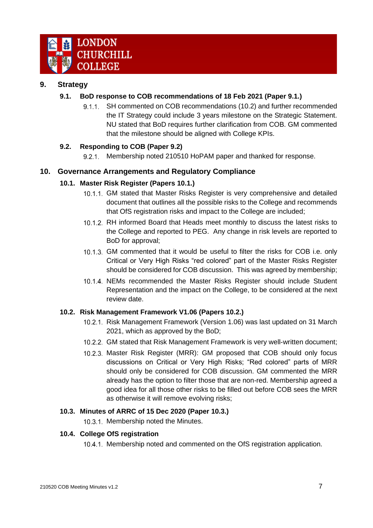

## <span id="page-6-0"></span>**9. Strategy**

## **9.1. BoD response to COB recommendations of 18 Feb 2021 (Paper 9.1.)**

9.1.1. SH commented on COB recommendations (10.2) and further recommended the IT Strategy could include 3 years milestone on the Strategic Statement. NU stated that BoD requires further clarification from COB. GM commented that the milestone should be aligned with College KPIs.

## <span id="page-6-1"></span>**9.2. Responding to COB (Paper 9.2)**

9.2.1. Membership noted 210510 HoPAM paper and thanked for response.

## <span id="page-6-3"></span><span id="page-6-2"></span>**10. Governance Arrangements and Regulatory Compliance**

## **10.1. Master Risk Register (Papers 10.1.)**

- 10.1.1. GM stated that Master Risks Register is very comprehensive and detailed document that outlines all the possible risks to the College and recommends that OfS registration risks and impact to the College are included;
- 10.1.2. RH informed Board that Heads meet monthly to discuss the latest risks to the College and reported to PEG. Any change in risk levels are reported to BoD for approval;
- 10.1.3. GM commented that it would be useful to filter the risks for COB i.e. only Critical or Very High Risks "red colored" part of the Master Risks Register should be considered for COB discussion. This was agreed by membership;
- 10.1.4. NEMs recommended the Master Risks Register should include Student Representation and the impact on the College, to be considered at the next review date.

## <span id="page-6-4"></span>**10.2. Risk Management Framework V1.06 (Papers 10.2.)**

- 10.2.1. Risk Management Framework (Version 1.06) was last updated on 31 March 2021, which as approved by the BoD;
- 10.2.2. GM stated that Risk Management Framework is very well-written document;
- 10.2.3. Master Risk Register (MRR): GM proposed that COB should only focus discussions on Critical or Very High Risks; "Red colored" parts of MRR should only be considered for COB discussion. GM commented the MRR already has the option to filter those that are non-red. Membership agreed a good idea for all those other risks to be filled out before COB sees the MRR as otherwise it will remove evolving risks;

## <span id="page-6-5"></span>**10.3. Minutes of ARRC of 15 Dec 2020 (Paper 10.3.)**

10.3.1. Membership noted the Minutes.

#### <span id="page-6-7"></span><span id="page-6-6"></span>**10.4. College OfS registration**

10.4.1. Membership noted and commented on the OfS registration application.